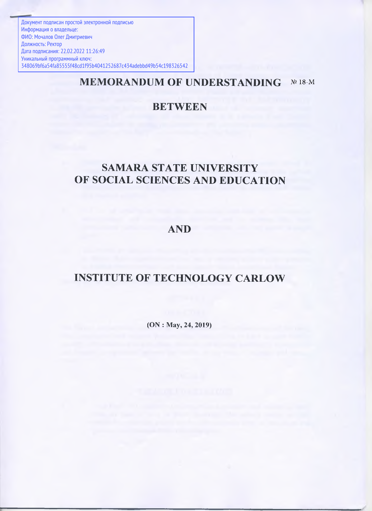Документ подписан простой электронной подписью Информация о владельце: ФИО: Мочалов Олег Дмитриевич Должность: Ректор Дата подписания: 22.02.2022 11:26:49 Уникальный программный ключ: 348069bf6a54fa85555f48cd1f95b4041252687c434adebbd49b54c198326542

# **MEMORANDUM OF UNDERSTANDING** № 18-M

# **BETWEEN**

# **SAMARA STATE UNIVERSITY OF SOCIAL SCIENCES AND EDUCATION**

# **AND**

# **INSTITUTE OF TECHNOLOGY CARLOW**

**(ON : May, 24, 2019)**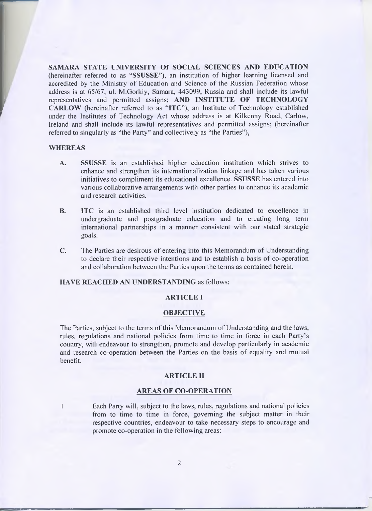SAMARA STATE UNIVERSITY Of SOCIAL SCIENCES AND EDUCATION (hereinafter referred to as "SSUSSE"), an institution of higher learning licensed and accredited by the Ministry of Education and Science of the Russian Federation whose address is at 65/67, ul. M.Gorkiy, Samara, 443099, Russia and shall include its lawful representatives and permitted assigns; AND INSTITUTE OF TECHNOLOGY CARLOW (hereinafter referred to as "ITC"), an Institute of Technology established under the Institutes of Technology Act whose address is at Kilkenny Road, Carlow, Ireland and shall include its lawful representatives and permitted assigns; (hereinafter referred to singularly as "the Party" and collectively as "the Parties"),

#### WHEREAS

- A. SSUSSE is an established higher education institution which strives to enhance and strengthen its internationalization linkage and has taken various initiatives to compliment its educational excellence. SSUSSE has entered into various collaborative arrangements with other parties to enhance its academic and research activities.
- B. ITC is an established third level institution dedicated to excellence in undergraduate and postgraduate education and to creating long term international partnerships in a manner consistent with our stated strategic goals.
- C. The Parties are desirous of entering into this Memorandum of Understanding to declare their respective intentions and to establish a basis of co-operation and collaboration between the Parties upon the terms as contained herein.

# HAVE REACHED AN UNDERSTANDING as follows:

### ARTICLE I

### **OBJECTIVE**

The Parties, subject to the terms of this Memorandum of Understanding and the laws, rules, regulations and national policies from time to time in force in each Party's country, will endeavour to strengthen, promote and develop particularly in academic and research co-operation between the Parties on the basis of equality and mutual benefit.

#### ARTICLE II

#### AREAS OF CO-OPERATION

1 Each Party will, subject to the laws, rules, regulations and national policies from to time to time in force, governing the subject matter in their respective countries, endeavour to take necessary steps to encourage and promote co-operation in the following areas: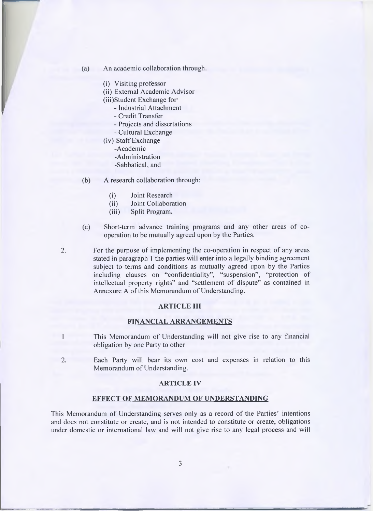- (a) An academic collaboration through.
	- (i) Visiting professor
	- (ii) External Academic Advisor
	- (iii) Student Exchange for
		- Industrial Attachment
		- Credit Transfer
		- Projects and dissertations
		- Cultural Exchange
	- (iv) Staff Exchange
		- -Academic
		- -Administration
		- -Sabbatical, and
- (b) A research collaboration through;
	- (i) Joint Research
	- (ii) Joint Collaboration
	- (iii) Split Program.
- (c) Short-term advance training programs and any other areas of cooperation to be mutually agreed upon by the Parties.
- 2. For the purpose of implementing the co-operation in respect of any areas stated in paragraph 1 the parties will enter into a legally binding agreement subject to terms and conditions as mutually agreed upon by the Parties including clauses on "confidentiality", "suspension", "protection of intellectual property rights" and "settlement of dispute" as contained in Annexure A of this Memorandum of Understanding.

# **ARTICLE III**

## **FINANCIAL ARRANGEMENTS**

- This Memorandum of Understanding will not give rise to any financial obligation by one Party to other
- 2. Each Party will bear its own cost and expenses in relation to this Memorandum of Understanding.

#### **ARTICLE IV**

#### **EFFECT OF MEMORANDUM OF UNDERSTANDING**

This Memorandum of Understanding serves only as a record of the Parties' intentions and does not constitute or create, and is not intended to constitute or create, obligations under domestic or international law and will not give rise to any legal process and will

**3**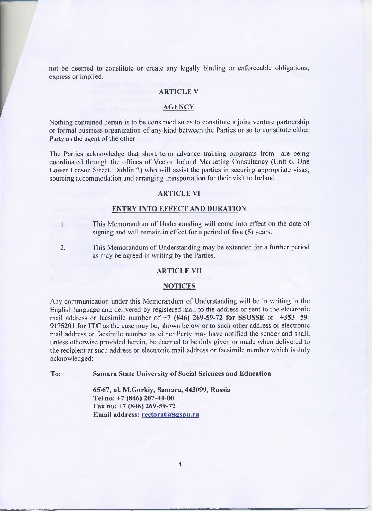not be deemed to constitute or create any legally binding or enforceable obligations, express or implied.

# **ARTICLE V**

#### **AGENCY**

Nothing contained herein is to be construed so as to constitute a joint venture partnership or formal business organization of any kind between the Parties or so to constitute either Party as the agent of the other

The Parties acknowledge that short term advance training programs from are being coordinated through the offices of Vector Ireland Marketing Consultancy (Unit 6, One Lower Leeson Street, Dublin 2) who will assist the parties in securing appropriate visas, sourcing accommodation and arranging transportation for their visit to Ireland.

## **ARTICLE VI**

#### **ENTRY INTO EFFECT AND DURATION**

- 1 This Memorandum of Understanding will come into effect on the date of signing and will remain in effect for a period of five (5) years.
- 2. This Memorandum of Understanding may be extended for a further period as may be agreed in writing by the Parties.

# **ARTICLE VII**

#### **NOTICES**

Any communication under this Memorandum of Understanding will be in writing in the English language and delivered by registered mail to the address or sent to the electronic mail address or facsimile number of **+7 (846) 269-59-72 for SSUSSE** or **+353- 59- 9175201 for ITC** as the case may be, shown below or to such other address or electronic mail address or facsimile number as either Party may have notified the sender and shall, unless otherwise provided herein, be deemed to be duly given or made when delivered to the recipient at such address or electronic mail address or facsimile number which is duly acknowledged:

**To: Samara State University of Social Sciences and Education**

**65\67, ul. M.Gorkiy, Samara, 443099, Russia Tel no: +7 (846) 207-44-00 Fax no: +7 (846) 269-59-72 Email address: [rectorat@sgspu.ru](mailto:rectorat@sgspu.ru)**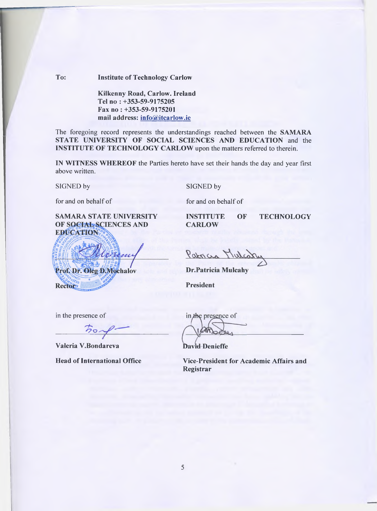# **To: Institute of Technology Carlow**

**Kilkenny Road, Carlow. Ireland Tel no : +353-59-9175205 Fax no : +353-59-9175201 mail address: [info@itcarlow.ie](mailto:info@itcarlow.ie)**

The foregoing record represents the understandings reached between the SAMARA STATE UNIVERSITY OF SOCIAL SCIENCES AND EDUCATION and the INSTITUTE OF TECHNOLOGY CARLOW upon the matters referred to therein.

IN WITNESS WHEREOF the Parties hereto have set their hands the day and year first above written.

SIGNED by SIGNED by

for and on behalf of for and on behalf of

SAMARA STATE UNIVERSITY<br>
OF SOCIAL SCIENCES AND 
CARLOW EDUCATION

**CARLOW** 

Prof. Dr. Oleg D. Mochalov Rectory

Patricia Mulco

**Dr.Patricia Mulcahy** 

**President** 

in the presence of

*'~ h*  $\sigma$ 

**Valeria V.Bondareva**

in the presence of

**David-Denieffe** 

**Head of International Office Vice-President for Academic Affairs and Registrar**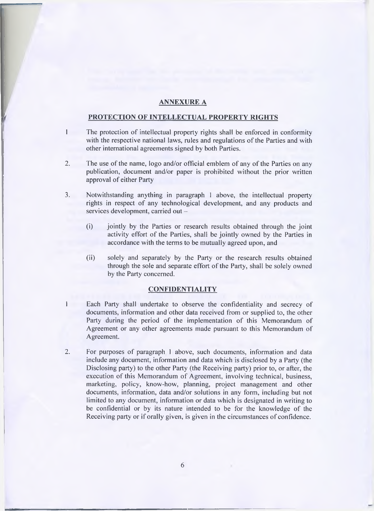### **ANNEXURE A**

### **PROTECTION OF INTELLECTUAL PROPERTY RIGHTS**

- 1 The protection of intellectual property rights shall be enforced in conformity with the respective national laws, rules and regulations of the Parties and with other international agreements signed by both Parties.
- 2. The use of the name, logo and/or official emblem of any of the Parties on any publication, document and/or paper is prohibited without the prior written approval of either Party
- 3. Notwithstanding anything in paragraph 1 above, the intellectual property rights in respect of any technological development, and any products and services development, carried out -
	- (i) jointly by the Parties or research results obtained through the joint activity effort of the Parties, shall be jointly owned by the Parties in accordance with the terms to be mutually agreed upon, and
	- (ii) solely and separately by the Party or the research results obtained through the sole and separate effort of the Party, shall be solely owned by the Party concerned.

# **CONFIDENTIALITY**

- 1 Each Party shall undertake to observe the confidentiality and secrecy of documents, information and other data received from or supplied to, the other Party during the period of the implementation of this Memorandum of Agreement or any other agreements made pursuant to this Memorandum of Agreement.
- 2. For purposes of paragraph 1 above, such documents, information and data include any document, information and data which is disclosed by a Party (the Disclosing party) to the other Party (the Receiving party) prior to, or after, the execution of this Memorandum of Agreement, involving technical, business, marketing, policy, know-how, planning, project management and other documents, information, data and/or solutions in any form, including but not limited to any document, information or data which is designated in writing to be confidential or by its nature intended to be for the knowledge of the Receiving party or if orally given, is given in the circumstances of confidence.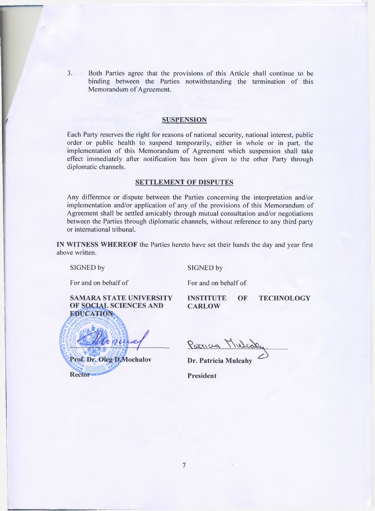**3.** Both Parties agree that the provisions of this Article shall continue to be binding between the Parties notwithstanding the termination of this Memorandum of Agreement.

#### SUSPENSION

Each Party reserves the right for reasons of national security, national interest, public order or public health to suspend temporarily, either in whole or in part, the implementation of this Memorandum of Agreement which suspension shall take effect immediately after notification has been given to the other Party through diplomatic channels.

#### **SETTLEMENT OF DISPUTES**

Any difference or dispute between the Parties concerning the interpretation and/or implementation and/or application of any of the provisions of this Memorandum of Agreement shall be settled amicably through mutual consultation and/or negotiations between the Parties through diplomatic channels, without reference to any third party or international tribunal.

IN WITNESS WHEREOF the Parties hereto have set their hands the day and year first above written.

SIGNED by SIGNED by

For and on behalf of For and on behalf of

SAMARA STATE UNIVERSITY INSTITUTE OF TECHNOLOGY OF SOCIAL SCIENCES AND **EDUCATION** 

**CARLOW** 

Prof. Dr. Oleg D. Mochalov **Rector** 

Parria Mulco

Dr. Patricia Mulcahy

**President**